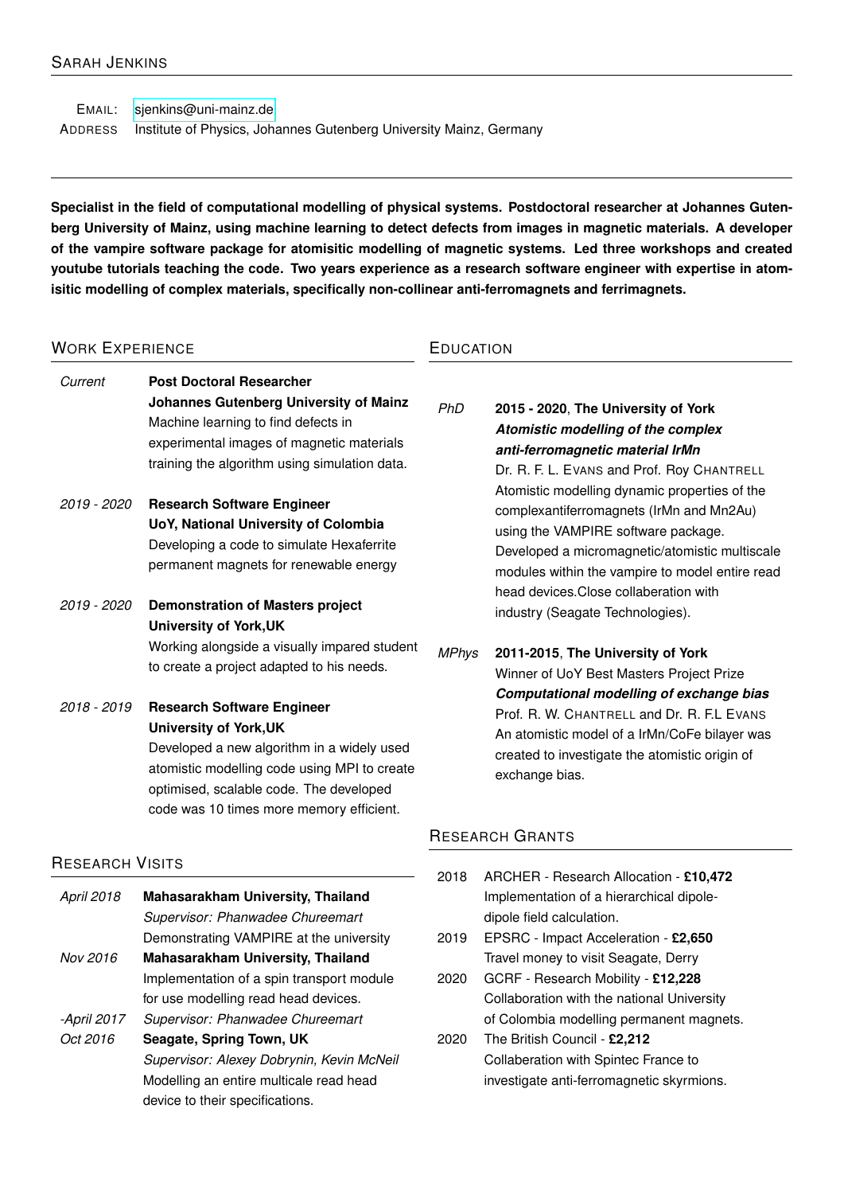EMAIL: [sjenkins@uni-mainz.de](mailto:sjenkins@uni-mainz.de) ADDRESS Institute of Physics, Johannes Gutenberg University Mainz, Germany

**Specialist in the field of computational modelling of physical systems. Postdoctoral researcher at Johannes Gutenberg University of Mainz, using machine learning to detect defects from images in magnetic materials. A developer of the vampire software package for atomisitic modelling of magnetic systems. Led three workshops and created youtube tutorials teaching the code. Two years experience as a research software engineer with expertise in atomisitic modelling of complex materials, specifically non-collinear anti-ferromagnets and ferrimagnets.**

#### WORK EXPERIENCE *Current* **Post Doctoral Researcher Johannes Gutenberg University of Mainz** Machine learning to find defects in experimental images of magnetic materials training the algorithm using simulation data. *2019 - 2020* **Research Software Engineer UoY, National University of Colombia** Developing a code to simulate Hexaferrite permanent magnets for renewable energy *2019 - 2020* **Demonstration of Masters project University of York,UK** Working alongside a visually impared student to create a project adapted to his needs. *2018 - 2019* **Research Software Engineer University of York,UK** Developed a new algorithm in a widely used atomistic modelling code using MPI to create optimised, scalable code. The developed code was 10 times more memory efficient. **EDUCATION** *PhD* **2015 - 2020**, **The University of York** *Atomistic modelling of the complex anti-ferromagnetic material IrMn* Dr. R. F. L. EVANS and Prof. Roy CHANTRELL Atomistic modelling dynamic properties of the complexantiferromagnets (IrMn and Mn2Au) using the VAMPIRE software package. Developed a micromagnetic/atomistic multiscale modules within the vampire to model entire read head devices.Close collaberation with industry (Seagate Technologies). *MPhys* **2011-2015**, **The University of York** Winner of UoY Best Masters Project Prize *Computational modelling of exchange bias* Prof. R. W. CHANTRELL and Dr. R. F.L EVANS An atomistic model of a IrMn/CoFe bilayer was created to investigate the atomistic origin of exchange bias. RESEARCH GRANTS

## RESEARCH VISITS

*April 2018* **Mahasarakham University, Thailand** *Supervisor: Phanwadee Chureemart* Demonstrating VAMPIRE at the university

*Nov 2016* **Mahasarakham University, Thailand** Implementation of a spin transport module for use modelling read head devices.

- *-April 2017 Supervisor: Phanwadee Chureemart*
- *Oct 2016* **Seagate, Spring Town, UK** *Supervisor: Alexey Dobrynin, Kevin McNeil* Modelling an entire multicale read head device to their specifications.

# 2018 ARCHER - Research Allocation - **£10,472** Implementation of a hierarchical dipoledipole field calculation.

- 2019 EPSRC Impact Acceleration **£2,650** Travel money to visit Seagate, Derry
- 2020 GCRF Research Mobility **£12,228** Collaboration with the national University of Colombia modelling permanent magnets.
- 2020 The British Council **£2,212** Collaberation with Spintec France to investigate anti-ferromagnetic skyrmions.